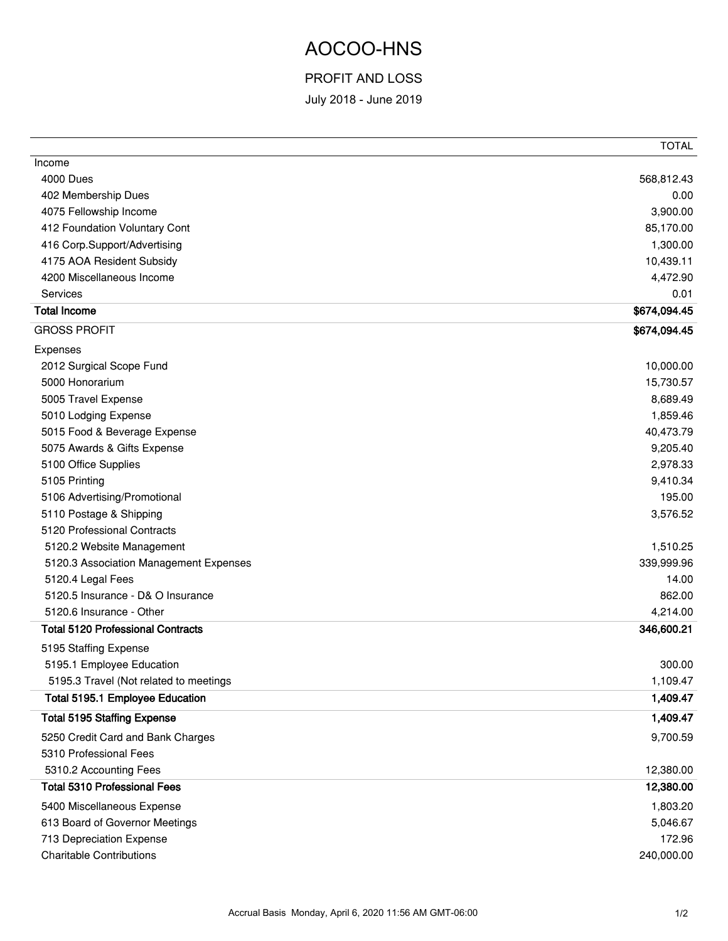## AOCOO-HNS

## PROFIT AND LOSS

July 2018 - June 2019

|                                          | <b>TOTAL</b> |
|------------------------------------------|--------------|
| Income                                   |              |
| <b>4000 Dues</b>                         | 568,812.43   |
| 402 Membership Dues                      | 0.00         |
| 4075 Fellowship Income                   | 3,900.00     |
| 412 Foundation Voluntary Cont            | 85,170.00    |
| 416 Corp.Support/Advertising             | 1,300.00     |
| 4175 AOA Resident Subsidy                | 10,439.11    |
| 4200 Miscellaneous Income                | 4,472.90     |
| <b>Services</b>                          | 0.01         |
| <b>Total Income</b>                      | \$674,094.45 |
| <b>GROSS PROFIT</b>                      | \$674,094.45 |
| Expenses                                 |              |
| 2012 Surgical Scope Fund                 | 10,000.00    |
| 5000 Honorarium                          | 15,730.57    |
| 5005 Travel Expense                      | 8,689.49     |
| 5010 Lodging Expense                     | 1,859.46     |
| 5015 Food & Beverage Expense             | 40,473.79    |
| 5075 Awards & Gifts Expense              | 9,205.40     |
| 5100 Office Supplies                     | 2,978.33     |
| 5105 Printing                            | 9,410.34     |
| 5106 Advertising/Promotional             | 195.00       |
| 5110 Postage & Shipping                  | 3,576.52     |
| 5120 Professional Contracts              |              |
| 5120.2 Website Management                | 1,510.25     |
| 5120.3 Association Management Expenses   | 339,999.96   |
| 5120.4 Legal Fees                        | 14.00        |
| 5120.5 Insurance - D& O Insurance        | 862.00       |
| 5120.6 Insurance - Other                 | 4,214.00     |
| <b>Total 5120 Professional Contracts</b> | 346,600.21   |
| 5195 Staffing Expense                    |              |
| 5195.1 Employee Education                | 300.00       |
| 5195.3 Travel (Not related to meetings   | 1,109.47     |
| Total 5195.1 Employee Education          | 1,409.47     |
| <b>Total 5195 Staffing Expense</b>       | 1,409.47     |
| 5250 Credit Card and Bank Charges        | 9,700.59     |
| 5310 Professional Fees                   |              |
| 5310.2 Accounting Fees                   | 12,380.00    |
| <b>Total 5310 Professional Fees</b>      | 12,380.00    |
| 5400 Miscellaneous Expense               | 1,803.20     |
| 613 Board of Governor Meetings           | 5,046.67     |
| 713 Depreciation Expense                 | 172.96       |
| <b>Charitable Contributions</b>          | 240,000.00   |
|                                          |              |